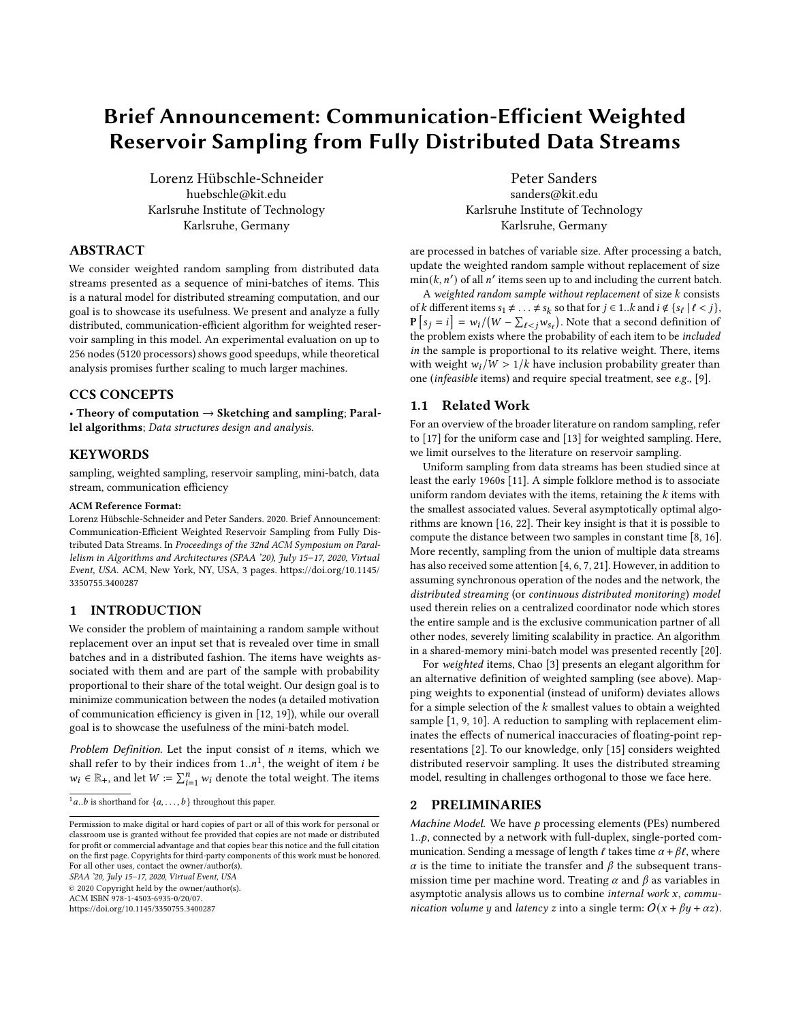# Brief Announcement: Communication-Efficient Weighted Reservoir Sampling from Fully Distributed Data Streams

Lorenz Hübschle-Schneider huebschle@kit.edu Karlsruhe Institute of Technology Karlsruhe, Germany

### ABSTRACT

We consider weighted random sampling from distributed data streams presented as a sequence of mini-batches of items. This is a natural model for distributed streaming computation, and our goal is to showcase its usefulness. We present and analyze a fully distributed, communication-efficient algorithm for weighted reservoir sampling in this model. An experimental evaluation on up to 256 nodes (5120 processors) shows good speedups, while theoretical analysis promises further scaling to much larger machines.

#### CCS CONCEPTS

• Theory of computation  $\rightarrow$  Sketching and sampling; Parallel algorithms; Data structures design and analysis.

#### KEYWORDS

sampling, weighted sampling, reservoir sampling, mini-batch, data stream, communication efficiency

#### ACM Reference Format:

Lorenz Hübschle-Schneider and Peter Sanders. 2020. Brief Announcement: Communication-Efficient Weighted Reservoir Sampling from Fully Distributed Data Streams. In Proceedings of the 32nd ACM Symposium on Parallelism in Algorithms and Architectures (SPAA '20), July 15–17, 2020, Virtual Event, USA. ACM, New York, NY, USA, [3](#page-2-0) pages. [https://doi.org/10.1145/](https://doi.org/10.1145/3350755.3400287) [3350755.3400287](https://doi.org/10.1145/3350755.3400287)

### 1 INTRODUCTION

We consider the problem of maintaining a random sample without replacement over an input set that is revealed over time in small batches and in a distributed fashion. The items have weights associated with them and are part of the sample with probability proportional to their share of the total weight. Our design goal is to minimize communication between the nodes (a detailed motivation of communication efficiency is given in [\[12,](#page-2-1) [19\]](#page-2-2)), while our overall goal is to showcase the usefulness of the mini-batch model.

Problem Definition. Let the input consist of  $n$  items, which we shall refer to by their indices from  $1..n^1$  $1..n^1$ , the weight of item *i* be  $w_i \in \mathbb{R}_+$ , and let  $W := \sum_{i=1}^n w_i$  denote the total weight. The items

SPAA '20, July 15–17, 2020, Virtual Event, USA

© 2020 Copyright held by the owner/author(s).

ACM ISBN 978-1-4503-6935-0/20/07.

<https://doi.org/10.1145/3350755.3400287>

Peter Sanders sanders@kit.edu Karlsruhe Institute of Technology Karlsruhe, Germany

are processed in batches of variable size. After processing a batch, update the weighted random sample without replacement of size  $\min(k, n')$  of all n' items seen up to and including the current batch.

A weighted random sample without replacement of size  $k$  consists of k different items  $s_1 \neq \ldots \neq s_k$  so that for  $j \in 1..k$  and  $i \notin \{s_\ell \mid \ell < j\},$  $\mathbf{P}\left[s_j = i\right] = \frac{w_i}{W - \sum_{\ell < j} w_{s_\ell}}$ . Note that a second definition of the problem exists where the probability of each item to be included in the sample is proportional to its relative weight. There, items with weight  $w_i / W > 1/k$  have inclusion probability greater than one (infeasible items) and require special treatment, see e.g., [\[9\]](#page-2-3).

#### 1.1 Related Work

For an overview of the broader literature on random sampling, refer to [\[17\]](#page-2-4) for the uniform case and [\[13\]](#page-2-5) for weighted sampling. Here, we limit ourselves to the literature on reservoir sampling.

Uniform sampling from data streams has been studied since at least the early 1960s [\[11\]](#page-2-6). A simple folklore method is to associate uniform random deviates with the items, retaining the  $k$  items with the smallest associated values. Several asymptotically optimal algorithms are known [\[16,](#page-2-7) [22\]](#page-2-8). Their key insight is that it is possible to compute the distance between two samples in constant time [\[8,](#page-2-9) [16\]](#page-2-7). More recently, sampling from the union of multiple data streams has also received some attention [\[4,](#page-2-10) [6,](#page-2-11) [7,](#page-2-12) [21\]](#page-2-13). However, in addition to assuming synchronous operation of the nodes and the network, the distributed streaming (or continuous distributed monitoring) model used therein relies on a centralized coordinator node which stores the entire sample and is the exclusive communication partner of all other nodes, severely limiting scalability in practice. An algorithm in a shared-memory mini-batch model was presented recently [\[20\]](#page-2-14).

For weighted items, Chao [\[3\]](#page-2-15) presents an elegant algorithm for an alternative definition of weighted sampling (see above). Mapping weights to exponential (instead of uniform) deviates allows for a simple selection of the  $k$  smallest values to obtain a weighted sample [\[1,](#page-2-16) [9,](#page-2-3) [10\]](#page-2-17). A reduction to sampling with replacement eliminates the effects of numerical inaccuracies of floating-point representations [\[2\]](#page-2-18). To our knowledge, only [\[15\]](#page-2-19) considers weighted distributed reservoir sampling. It uses the distributed streaming model, resulting in challenges orthogonal to those we face here.

#### <span id="page-0-1"></span>2 PRELIMINARIES

Machine Model. We have  $p$  processing elements (PEs) numbered  $1..p$ , connected by a network with full-duplex, single-ported communication. Sending a message of length  $\ell$  takes time  $\alpha + \beta \ell$ , where  $\alpha$  is the time to initiate the transfer and  $\beta$  the subsequent transmission time per machine word. Treating  $\alpha$  and  $\beta$  as variables in asymptotic analysis allows us to combine internal work  $x$ , communication volume y and latency z into a single term:  $O(x + \beta y + \alpha z)$ .

<span id="page-0-0"></span> $^1a..b$  is shorthand for  $\{a, \ldots, b\}$  throughout this paper.

Permission to make digital or hard copies of part or all of this work for personal or classroom use is granted without fee provided that copies are not made or distributed for profit or commercial advantage and that copies bear this notice and the full citation on the first page. Copyrights for third-party components of this work must be honored. For all other uses, contact the owner/author(s).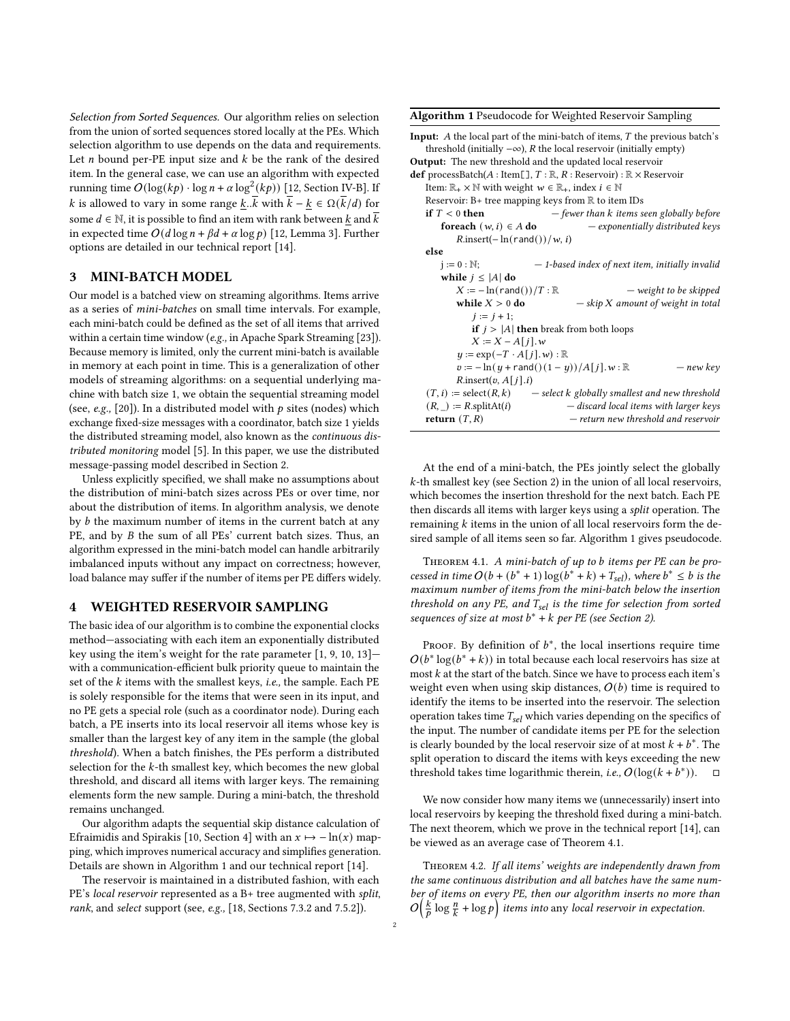Selection from Sorted Sequences. Our algorithm relies on selection from the union of sorted sequences stored locally at the PEs. Which selection algorithm to use depends on the data and requirements. Let  $n$  bound per-PE input size and  $k$  be the rank of the desired item. In the general case, we can use an algorithm with expected running time  $O(\log(kp) \cdot \log n + \alpha \log^2(kp))$  [\[12,](#page-2-1) Section IV-B]. If *k* is allowed to vary in some range  $k \cdot \overline{k}$  with  $\overline{k} - k \in \Omega(\overline{k}/d)$  for some  $d \in \mathbb{N}$ , it is possible to find an item with rank between  $\underline{k}$  and  $\overline{k}$ in expected time  $O(d \log n + \beta d + \alpha \log p)$  [\[12,](#page-2-1) Lemma 3]. Further options are detailed in our technical report [\[14\]](#page-2-20).

#### 3 MINI-BATCH MODEL

Our model is a batched view on streaming algorithms. Items arrive as a series of mini-batches on small time intervals. For example, each mini-batch could be defined as the set of all items that arrived within a certain time window (e.g., in Apache Spark Streaming [\[23\]](#page-2-21)). Because memory is limited, only the current mini-batch is available in memory at each point in time. This is a generalization of other models of streaming algorithms: on a sequential underlying machine with batch size 1, we obtain the sequential streaming model (see, e.g., [\[20\]](#page-2-14)). In a distributed model with  $p$  sites (nodes) which exchange fixed-size messages with a coordinator, batch size 1 yields the distributed streaming model, also known as the continuous distributed monitoring model [\[5\]](#page-2-22). In this paper, we use the distributed message-passing model described in Section [2.](#page-0-1)

Unless explicitly specified, we shall make no assumptions about the distribution of mini-batch sizes across PEs or over time, nor about the distribution of items. In algorithm analysis, we denote by  $b$  the maximum number of items in the current batch at any PE, and by  $B$  the sum of all PEs' current batch sizes. Thus, an algorithm expressed in the mini-batch model can handle arbitrarily imbalanced inputs without any impact on correctness; however, load balance may suffer if the number of items per PE differs widely.

#### 4 WEIGHTED RESERVOIR SAMPLING

The basic idea of our algorithm is to combine the exponential clocks method—associating with each item an exponentially distributed key using the item's weight for the rate parameter [\[1,](#page-2-16) [9,](#page-2-3) [10,](#page-2-17) [13\]](#page-2-5) with a communication-efficient bulk priority queue to maintain the set of the  $k$  items with the smallest keys, i.e., the sample. Each PE is solely responsible for the items that were seen in its input, and no PE gets a special role (such as a coordinator node). During each batch, a PE inserts into its local reservoir all items whose key is smaller than the largest key of any item in the sample (the global threshold). When a batch finishes, the PEs perform a distributed selection for the  $k$ -th smallest key, which becomes the new global threshold, and discard all items with larger keys. The remaining elements form the new sample. During a mini-batch, the threshold remains unchanged.

Our algorithm adapts the sequential skip distance calculation of Efraimidis and Spirakis [\[10,](#page-2-17) Section 4] with an  $x \mapsto -\ln(x)$  mapping, which improves numerical accuracy and simplifies generation. Details are shown in Algorithm [1](#page-1-0) and our technical report [\[14\]](#page-2-20).

The reservoir is maintained in a distributed fashion, with each PE's local reservoir represented as a B+ tree augmented with split, rank, and select support (see, e.g., [\[18,](#page-2-23) Sections 7.3.2 and 7.5.2]).

<span id="page-1-0"></span>Algorithm 1 Pseudocode for Weighted Reservoir Sampling

| <b>Input:</b> A the local part of the mini-batch of items, $T$ the previous batch's                  |                        |
|------------------------------------------------------------------------------------------------------|------------------------|
| threshold (initially $-\infty$ ), R the local reservoir (initially empty)                            |                        |
| <b>Output:</b> The new threshold and the updated local reservoir                                     |                        |
| <b>def</b> processBatch(A : Item[], $T : \mathbb{R}, R :$ Reservoir) : $\mathbb{R} \times$ Reservoir |                        |
| Item: $\mathbb{R}_+ \times \mathbb{N}$ with weight $w \in \mathbb{R}_+$ , index $i \in \mathbb{N}$   |                        |
| Reservoir: $B+$ tree mapping keys from $\mathbb R$ to item IDs                                       |                        |
| - fewer than k items seen globally before<br>if $T < 0$ then                                         |                        |
| $-$ exponentially distributed keys<br>foreach $(w, i) \in A$ do                                      |                        |
| $R.insert(-ln(rand)))/w, i)$                                                                         |                        |
| else                                                                                                 |                        |
| $i := 0 : \mathbb{N}$<br>- 1-based index of next item, initially invalid                             |                        |
| while $j \leq  A $ do                                                                                |                        |
| $X := -\ln(\text{rand}())/T : \mathbb{R}$                                                            | - weight to be skipped |
| while $X > 0$ do<br>$-$ skip X amount of weight in total                                             |                        |
| $i := i + 1$ ;                                                                                       |                        |
| <b>if</b> $j >  A $ <b>then</b> break from both loops                                                |                        |
| $X = X - A[i], w$                                                                                    |                        |
| $y := \exp(-T \cdot A[j].w) : \mathbb{R}$                                                            |                        |
| $v := -\ln(y + \text{rand})) (1 - y)/A[j].w : \mathbb{R}$                                            | $-$ new key            |
| $R$ insert $(v, A[i], i)$                                                                            |                        |
| $(T, i) := select(R, k)$ - select k globally smallest and new threshold                              |                        |
| $(R, ) := R.\text{splitAt}(i)$<br>- discard local items with larger keys                             |                        |
| return $(T, R)$<br>- return new threshold and reservoir                                              |                        |
|                                                                                                      |                        |

At the end of a mini-batch, the PEs jointly select the globally  $k$ -th smallest key (see Section [2\)](#page-0-1) in the union of all local reservoirs, which becomes the insertion threshold for the next batch. Each PE then discards all items with larger keys using a split operation. The remaining  $k$  items in the union of all local reservoirs form the desired sample of all items seen so far. Algorithm [1](#page-1-0) gives pseudocode.

<span id="page-1-1"></span>THEOREM 4.1. A mini-batch of up to b items per PE can be processed in time  $O(b + (b^* + 1) \log(b^* + k) + T_{sel})$ , where  $b^* \le b$  is the maximum number of items from the mini-batch below the insertion threshold on any PE, and  $T_{sel}$  is the time for selection from sorted sequences of size at most  $b^* + k$  per PE (see Section [2\)](#page-0-1).

Proof. By definition of  $b^*$ , the local insertions require time  $O(b^* \log(b^* + k))$  in total because each local reservoirs has size at most  $k$  at the start of the batch. Since we have to process each item's weight even when using skip distances,  $O(b)$  time is required to identify the items to be inserted into the reservoir. The selection operation takes time  $T_{sel}$  which varies depending on the specifics of the input. The number of candidate items per PE for the selection is clearly bounded by the local reservoir size of at most  $k + b^*$ . The split operation to discard the items with keys exceeding the new threshold takes time logarithmic therein, *i.e.*,  $O(log(k + b^*))$ .  $\Box$ 

We now consider how many items we (unnecessarily) insert into local reservoirs by keeping the threshold fixed during a mini-batch. The next theorem, which we prove in the technical report [\[14\]](#page-2-20), can be viewed as an average case of Theorem [4.1.](#page-1-1)

Theorem 4.2. If all items' weights are independently drawn from the same continuous distribution and all batches have the same number of items on every PE, then our algorithm inserts no more than  $O\left(\frac{k}{p}\log\frac{n}{k}+\log p\right)$  items into any local reservoir in expectation.